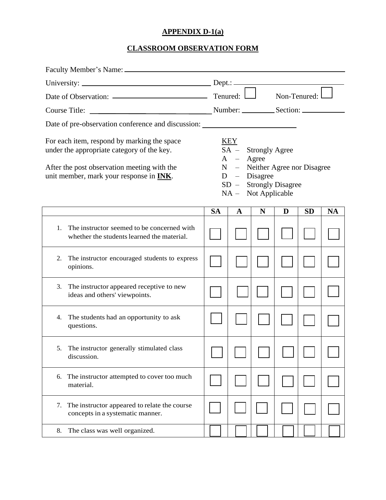## **APPENDIX D-1(a)**

## **CLASSROOM OBSERVATION FORM**

|                                                                                                                                                                                             | Non-Tenured:                                                                                                                                                 |   |   |   |           |           |
|---------------------------------------------------------------------------------------------------------------------------------------------------------------------------------------------|--------------------------------------------------------------------------------------------------------------------------------------------------------------|---|---|---|-----------|-----------|
|                                                                                                                                                                                             |                                                                                                                                                              |   |   |   |           |           |
| Date of pre-observation conference and discussion: ______________________________                                                                                                           |                                                                                                                                                              |   |   |   |           |           |
| For each item, respond by marking the space<br>under the appropriate category of the key.<br>After the post observation meeting with the<br>unit member, mark your response in <b>INK</b> . | <u>KEY</u><br>SA - Strongly Agree<br>$A - \text{Agree}$<br>N – Neither Agree nor Disagree<br>$D - Disagree$<br>SD - Strongly Disagree<br>NA - Not Applicable |   |   |   |           |           |
|                                                                                                                                                                                             | <b>SA</b>                                                                                                                                                    | A | N | D | <b>SD</b> | <b>NA</b> |
| The instructor seemed to be concerned with<br>1.<br>whether the students learned the material.                                                                                              |                                                                                                                                                              |   |   |   |           |           |
| The instructor encouraged students to express<br>2.<br>opinions.                                                                                                                            |                                                                                                                                                              |   |   |   |           |           |
| The instructor appeared receptive to new<br>3.<br>ideas and others' viewpoints.                                                                                                             |                                                                                                                                                              |   |   |   |           |           |
| The students had an opportunity to ask<br>4.<br>questions.                                                                                                                                  |                                                                                                                                                              |   |   |   |           |           |
| The instructor generally stimulated class<br>discussion.                                                                                                                                    |                                                                                                                                                              |   |   |   |           |           |
| The instructor attempted to cover too much<br>6.<br>material.                                                                                                                               |                                                                                                                                                              |   |   |   |           |           |
| The instructor appeared to relate the course<br>7.<br>concepts in a systematic manner.                                                                                                      |                                                                                                                                                              |   |   |   |           |           |
| The class was well organized.<br>8.                                                                                                                                                         |                                                                                                                                                              |   |   |   |           |           |